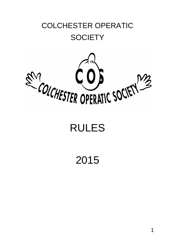# COLCHESTER OPERATIC **SOCIETY**



# RULES

2015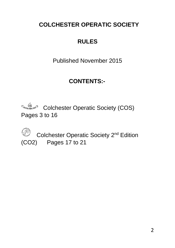# **COLCHESTER OPERATIC SOCIETY**

# **RULES**

Published November 2015

# **CONTENTS:-**

**Colchester Operatic Society (COS)** Pages 3 to 16



**Colchester Operatic Society 2<sup>nd</sup> Edition** (CO2) Pages 17 to 21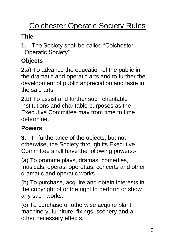# **Colchester Operatic Society Rules**

# **Title**

**1.** The Society shall be called "Colchester Operatic Society"

# **Objects**

**2.**a) To advance the education of the public in the dramatic and operatic arts and to further the development of public appreciation and taste in the said arts;

**2**.b) To assist and further such charitable institutions and charitable purposes as the Executive Committee may from time to time determine.

# **Powers**

**3.** In furtherance of the objects, but not otherwise, the Society through its Executive Committee shall have the following powers:-

(a) To promote plays, dramas, comedies, musicals, operas, operettas, concerts and other dramatic and operatic works.

(b) To purchase, acquire and obtain interests in the copyright of or the right to perform or show any such works.

(c) To purchase or otherwise acquire plant machinery, furniture, fixings, scenery and all other necessary effects.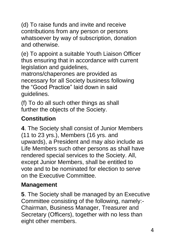(d) To raise funds and invite and receive contributions from any person or persons whatsoever by way of subscription, donation and otherwise.

(e) To appoint a suitable Youth Liaison Officer thus ensuring that in accordance with current legislation and guidelines,

matrons/chaperones are provided as necessary for all Society business following the "Good Practice" laid down in said guidelines.

(f) To do all such other things as shall further the objects of the Society.

# **Constitution**

**4**. The Society shall consist of Junior Members (11 to 23 yrs.), Members (16 yrs. and upwards), a President and may also include as Life Members such other persons as shall have rendered special services to the Society. All, except Junior Members, shall be entitled to vote and to be nominated for election to serve on the Executive Committee.

# **Management**

**5**. The Society shall be managed by an Executive Committee consisting of the following, namely:- Chairman, Business Manager, Treasurer and Secretary (Officers), together with no less than eight other members.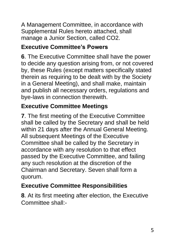A Management Committee, in accordance with Supplemental Rules hereto attached, shall manage a Junior Section, called CO2.

#### **Executive Committee's Powers**

**6**. The Executive Committee shall have the power to decide any question arising from, or not covered by, these Rules (except matters specifically stated therein as requiring to be dealt with by the Society in a General Meeting), and shall make, maintain and publish all necessary orders, regulations and bye-laws in connection therewith.

### **Executive Committee Meetings**

**7**. The first meeting of the Executive Committee shall be called by the Secretary and shall be held within 21 days after the Annual General Meeting. All subsequent Meetings of the Executive Committee shall be called by the Secretary in accordance with any resolution to that effect passed by the Executive Committee, and failing any such resolution at the discretion of the Chairman and Secretary. Seven shall form a quorum.

# **Executive Committee Responsibilities**

**8**. At its first meeting after election, the Executive Committee shall:-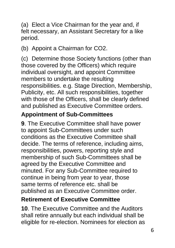(a) Elect a Vice Chairman for the year and, if felt necessary, an Assistant Secretary for a like period.

(b) Appoint a Chairman for CO2.

(c) Determine those Society functions (other than those covered by the Officers) which require individual oversight, and appoint Committee members to undertake the resulting responsibilities. e.g. Stage Direction, Membership, Publicity, etc. All such responsibilities, together with those of the Officers, shall be clearly defined and published as Executive Committee orders.

#### **Appointment of Sub-Committees**

**9**. The Executive Committee shall have power to appoint Sub-Committees under such conditions as the Executive Committee shall decide. The terms of reference, including aims, responsibilities, powers, reporting style and membership of such Sub-Committees shall be agreed by the Executive Committee and minuted. For any Sub-Committee required to continue in being from year to year, those same terms of reference etc. shall be published as an Executive Committee order.

#### **Retirement of Executive Committee**

**10**. The Executive Committee and the Auditors shall retire annually but each individual shall be eligible for re-election. Nominees for election as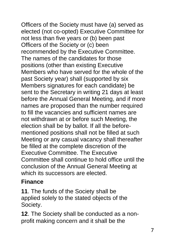Officers of the Society must have (a) served as elected (not co-opted) Executive Committee for not less than five years or (b) been past Officers of the Society or (c) been recommended by the Executive Committee. The names of the candidates for those positions (other than existing Executive Members who have served for the whole of the past Society year) shall (supported by six Members signatures for each candidate) be sent to the Secretary in writing 21 days at least before the Annual General Meeting, and if more names are proposed than the number required to fill the vacancies and sufficient names are not withdrawn at or before such Meeting, the election shall be by ballot. If all the beforementioned positions shall not be filled at such Meeting or any casual vacancy shall thereafter be filled at the complete discretion of the Executive Committee. The Executive Committee shall continue to hold office until the conclusion of the Annual General Meeting at which its successors are elected.

#### **Finance**

**11**. The funds of the Society shall be applied solely to the stated objects of the Society.

**12**. The Society shall be conducted as a nonprofit making concern and it shall be the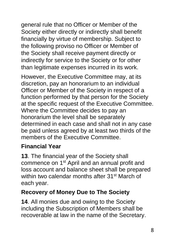general rule that no Officer or Member of the Society either directly or indirectly shall benefit financially by virtue of membership. Subject to the following proviso no Officer or Member of the Society shall receive payment directly or indirectly for service to the Society or for other than legitimate expenses incurred in its work.

However, the Executive Committee may, at its discretion, pay an honorarium to an individual Officer or Member of the Society in respect of a function performed by that person for the Society at the specific request of the Executive Committee. Where the Committee decides to pay an honorarium the level shall be separately determined in each case and shall not in any case be paid unless agreed by at least two thirds of the members of the Executive Committee.

#### **Financial Year**

**13**. The financial year of the Society shall commence on 1st April and an annual profit and loss account and balance sheet shall be prepared within two calendar months after 31<sup>st</sup> March of each year.

#### **Recovery of Money Due to The Society**

**14**. All monies due and owing to the Society including the Subscription of Members shall be recoverable at law in the name of the Secretary.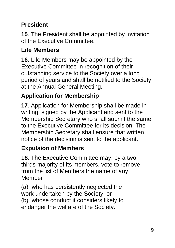# **President**

**15**. The President shall be appointed by invitation of the Executive Committee.

#### **Life Members**

**16**. Life Members may be appointed by the Executive Committee in recognition of their outstanding service to the Society over a long period of years and shall be notified to the Society at the Annual General Meeting.

# **Application for Membership**

**17**. Application for Membership shall be made in writing, signed by the Applicant and sent to the Membership Secretary who shall submit the same to the Executive Committee for its decision. The Membership Secretary shall ensure that written notice of the decision is sent to the applicant.

#### **Expulsion of Members**

**18**. The Executive Committee may, by a two thirds majority of its members, vote to remove from the list of Members the name of any Member

(a) who has persistently neglected the work undertaken by the Society, or (b) whose conduct it considers likely to endanger the welfare of the Society.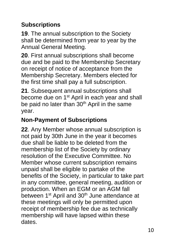# **Subscriptions**

**19**. The annual subscription to the Society shall be determined from year to year by the Annual General Meeting.

**20**. First annual subscriptions shall become due and be paid to the Membership Secretary on receipt of notice of acceptance from the Membership Secretary. Members elected for the first time shall pay a full subscription.

**21**. Subsequent annual subscriptions shall become due on 1<sup>st</sup> April in each year and shall be paid no later than 30<sup>th</sup> April in the same year.

# **Non-Payment of Subscriptions**

**22**. Any Member whose annual subscription is not paid by 30th June in the year it becomes due shall be liable to be deleted from the membership list of the Society by ordinary resolution of the Executive Committee. No Member whose current subscription remains unpaid shall be eligible to partake of the benefits of the Society, in particular to take part in any committee, general meeting, audition or production. When an EGM or an AGM fall between 1<sup>st</sup> April and 30<sup>th</sup> June attendance at these meetings will only be permitted upon receipt of membership fee due as technically membership will have lapsed within these dates.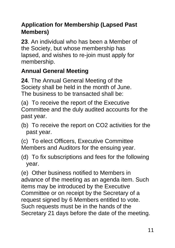### **Application for Membership (Lapsed Past Members)**

**23**. An individual who has been a Member of the Society, but whose membership has lapsed, and wishes to re-join must apply for membership.

# **Annual General Meeting**

**24**. The Annual General Meeting of the Society shall be held in the month of June. The business to be transacted shall be:

(a) To receive the report of the Executive Committee and the duly audited accounts for the past year.

(b) To receive the report on CO2 activities for the past year.

(c) To elect Officers, Executive Committee Members and Auditors for the ensuing year.

(d) To fix subscriptions and fees for the following year.

(e) Other business notified to Members in advance of the meeting as an agenda item. Such items may be introduced by the Executive Committee or on receipt by the Secretary of a request signed by 6 Members entitled to vote. Such requests must be in the hands of the Secretary 21 days before the date of the meeting.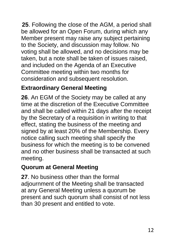**25**. Following the close of the AGM, a period shall be allowed for an Open Forum, during which any Member present may raise any subject pertaining to the Society, and discussion may follow. No voting shall be allowed, and no decisions may be taken, but a note shall be taken of issues raised, and included on the Agenda of an Executive Committee meeting within two months for consideration and subsequent resolution.

### **Extraordinary General Meeting**

**26**. An EGM of the Society may be called at any time at the discretion of the Executive Committee and shall be called within 21 days after the receipt by the Secretary of a requisition in writing to that effect, stating the business of the meeting and signed by at least 20% of the Membership. Every notice calling such meeting shall specify the business for which the meeting is to be convened and no other business shall be transacted at such meeting.

# **Quorum at General Meeting**

**27**. No business other than the formal adjournment of the Meeting shall be transacted at any General Meeting unless a quorum be present and such quorum shall consist of not less than 30 present and entitled to vote.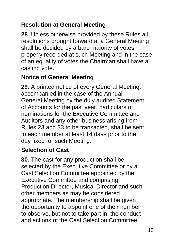#### **Resolution at General Meeting**

**28**. Unless otherwise provided by these Rules all resolutions brought forward at a General Meeting shall be decided by a bare majority of votes properly recorded at such Meeting and in the case of an equality of votes the Chairman shall have a casting vote.

#### **Notice of General Meeting**

**29**. A printed notice of every General Meeting, accompanied in the case of the Annual General Meeting by the duly audited Statement of Accounts for the past year, particulars of nominations for the Executive Committee and Auditors and any other business arising from Rules 23 and 33 to be transacted, shall be sent to each member at least 14 days prior to the day fixed for such Meeting.

# **Selection of Cast**

**30**. The cast for any production shall be selected by the Executive Committee or by a Cast Selection Committee appointed by the Executive Committee and comprising Production Director, Musical Director and such other members as may be considered appropriate. The membership shall be given the opportunity to appoint one of their number to observe, but not to take part in, the conduct and actions of the Cast Selection Committee.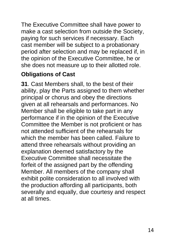The Executive Committee shall have power to make a cast selection from outside the Society, paying for such services if necessary. Each cast member will be subject to a probationary period after selection and may be replaced if, in the opinion of the Executive Committee, he or she does not measure up to their allotted role.

#### **Obligations of Cast**

**31**. Cast Members shall, to the best of their ability, play the Parts assigned to them whether principal or chorus and obey the directions given at all rehearsals and performances. No Member shall be eligible to take part in any performance if in the opinion of the Executive Committee the Member is not proficient or has not attended sufficient of the rehearsals for which the member has been called. Failure to attend three rehearsals without providing an explanation deemed satisfactory by the Executive Committee shall necessitate the forfeit of the assigned part by the offending Member. All members of the company shall exhibit polite consideration to all involved with the production affording all participants, both severally and equally, due courtesy and respect at all times.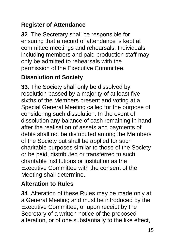### **Register of Attendance**

**32**. The Secretary shall be responsible for ensuring that a record of attendance is kept at committee meetings and rehearsals. Individuals including members and paid production staff may only be admitted to rehearsals with the permission of the Executive Committee.

#### **Dissolution of Society**

**33**. The Society shall only be dissolved by resolution passed by a majority of at least five sixths of the Members present and voting at a Special General Meeting called for the purpose of considering such dissolution. In the event of dissolution any balance of cash remaining in hand after the realisation of assets and payments of debts shall not be distributed among the Members of the Society but shall be applied for such charitable purposes similar to those of the Society or be paid, distributed or transferred to such charitable institutions or institution as the Executive Committee with the consent of the Meeting shall determine.

#### **Alteration to Rules**

**34**. Alteration of these Rules may be made only at a General Meeting and must be introduced by the Executive Committee, or upon receipt by the Secretary of a written notice of the proposed alteration, or of one substantially to the like effect,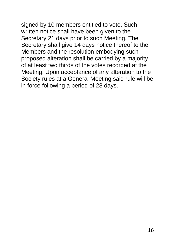signed by 10 members entitled to vote. Such

written notice shall have been given to the Secretary 21 days prior to such Meeting. The Secretary shall give 14 days notice thereof to the Members and the resolution embodying such proposed alteration shall be carried by a majority of at least two thirds of the votes recorded at the Meeting. Upon acceptance of any alteration to the Society rules at a General Meeting said rule will be in force following a period of 28 days.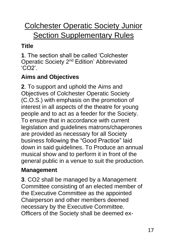# Colchester Operatic Society Junior **Section Supplementary Rules**

# **Title**

**1**. The section shall be called 'Colchester Operatic Society 2nd Edition' Abbreviated 'CO2'.

# **Aims and Objectives**

**2**. To support and uphold the Aims and Objectives of Colchester Operatic Society (C.O.S.) with emphasis on the promotion of interest in all aspects of the theatre for young people and to act as a feeder for the Society. To ensure that in accordance with current legislation and guidelines matrons/chaperones are provided as necessary for all Society business following the "Good Practice" laid down in said guidelines. To Produce an annual musical show and to perform it in front of the general public in a venue to suit the production.

#### **Management**

**3**. CO2 shall be managed by a Management Committee consisting of an elected member of the Executive Committee as the appointed Chairperson and other members deemed necessary by the Executive Committee. Officers of the Society shall be deemed ex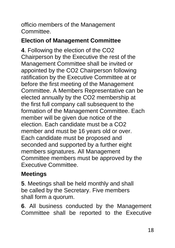officio members of the Management Committee.

#### **Election of Management Committee**

**4**. Following the election of the CO2 Chairperson by the Executive the rest of the Management Committee shall be invited or appointed by the CO2 Chairperson following ratification by the Executive Committee at or before the first meeting of the Management Committee. A Members Representative can be elected annually by the CO2 membership at the first full company call subsequent to the formation of the Management Committee. Each member will be given due notice of the election. Each candidate must be a CO2 member and must be 16 years old or over. Each candidate must be proposed and seconded and supported by a further eight members signatures. All Management Committee members must be approved by the Executive Committee.

# **Meetings**

**5**. Meetings shall be held monthly and shall be called by the Secretary. Five members shall form a quorum.

**6**. All business conducted by the Management Committee shall be reported to the Executive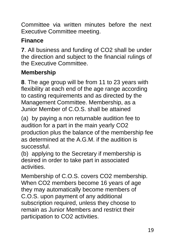Committee via written minutes before the next Executive Committee meeting.

# **Finance**

**7**. All business and funding of CO2 shall be under the direction and subject to the financial rulings of the Executive Committee.

# **Membership**

**8**. The age group will be from 11 to 23 years with flexibility at each end of the age range according to casting requirements and as directed by the Management Committee. Membership, as a Junior Member of C.O.S. shall be attained

(a) by paying a non returnable audition fee to audition for a part in the main yearly CO2 production plus the balance of the membership fee as determined at the A.G.M. if the audition is successful.

(b) applying to the Secretary if membership is desired in order to take part in associated activities.

Membership of C.O.S. covers CO2 membership. When CO2 members become 16 years of age they may automatically become members of C.O.S. upon payment of any additional subscription required, unless they choose to remain as Junior Members and restrict their participation to CO2 activities.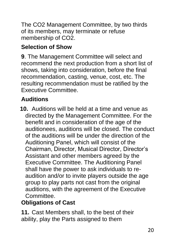The CO2 Management Committee, by two thirds of its members, may terminate or refuse membership of CO2.

#### **Selection of Show**

**9**. The Management Committee will select and recommend the next production from a short list of shows, taking into consideration, before the final recommendation, casting, venue, cost, etc. The resulting recommendation must be ratified by the Executive Committee.

# **Auditions**

**10.** Auditions will be held at a time and venue as directed by the Management Committee. For the benefit and in consideration of the age of the auditionees, auditions will be closed. The conduct of the auditions will be under the direction of the Auditioning Panel, which will consist of the Chairman, Director, Musical Director, Director's Assistant and other members agreed by the Executive Committee. The Auditioning Panel shall have the power to ask individuals to reaudition and/or to invite players outside the age group to play parts not cast from the original auditions, with the agreement of the Executive Committee.

# **Obligations of Cast**

**11.** Cast Members shall, to the best of their ability, play the Parts assigned to them